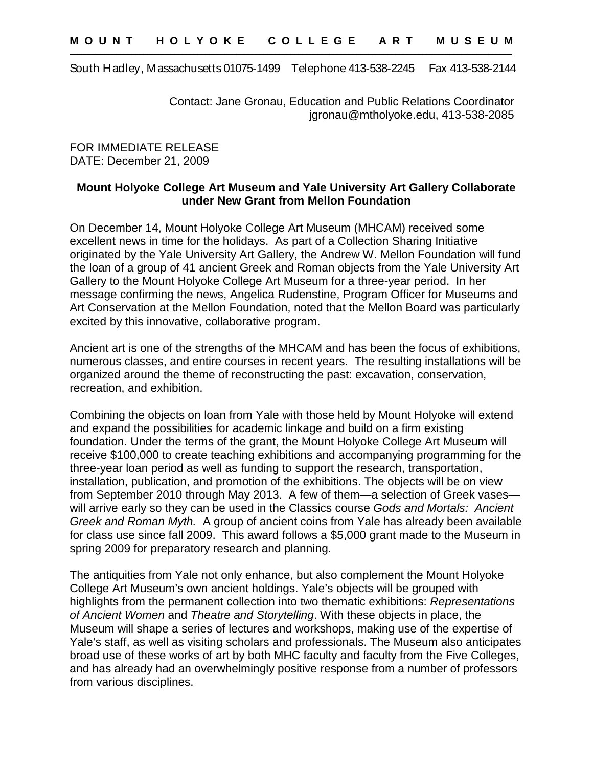South Hadley, Massachusetts 01075-1499 Telephone 413-538-2245 Fax 413-538-2144

Contact: Jane Gronau, Education and Public Relations Coordinator jgronau@mtholyoke.edu, 413-538-2085

FOR IMMEDIATE RELEASE DATE: December 21, 2009

## **Mount Holyoke College Art Museum and Yale University Art Gallery Collaborate under New Grant from Mellon Foundation**

On December 14, Mount Holyoke College Art Museum (MHCAM) received some excellent news in time for the holidays. As part of a Collection Sharing Initiative originated by the Yale University Art Gallery, the Andrew W. Mellon Foundation will fund the loan of a group of 41 ancient Greek and Roman objects from the Yale University Art Gallery to the Mount Holyoke College Art Museum for a three-year period. In her message confirming the news, Angelica Rudenstine, Program Officer for Museums and Art Conservation at the Mellon Foundation, noted that the Mellon Board was particularly excited by this innovative, collaborative program.

Ancient art is one of the strengths of the MHCAM and has been the focus of exhibitions, numerous classes, and entire courses in recent years. The resulting installations will be organized around the theme of reconstructing the past: excavation, conservation, recreation, and exhibition.

Combining the objects on loan from Yale with those held by Mount Holyoke will extend and expand the possibilities for academic linkage and build on a firm existing foundation. Under the terms of the grant, the Mount Holyoke College Art Museum will receive \$100,000 to create teaching exhibitions and accompanying programming for the three-year loan period as well as funding to support the research, transportation, installation, publication, and promotion of the exhibitions. The objects will be on view from September 2010 through May 2013. A few of them—a selection of Greek vases will arrive early so they can be used in the Classics course *Gods and Mortals: Ancient Greek and Roman Myth.* A group of ancient coins from Yale has already been available for class use since fall 2009. This award follows a \$5,000 grant made to the Museum in spring 2009 for preparatory research and planning.

The antiquities from Yale not only enhance, but also complement the Mount Holyoke College Art Museum's own ancient holdings. Yale's objects will be grouped with highlights from the permanent collection into two thematic exhibitions: *Representations of Ancient Women* and *Theatre and Storytelling*. With these objects in place, the Museum will shape a series of lectures and workshops, making use of the expertise of Yale's staff, as well as visiting scholars and professionals. The Museum also anticipates broad use of these works of art by both MHC faculty and faculty from the Five Colleges, and has already had an overwhelmingly positive response from a number of professors from various disciplines.